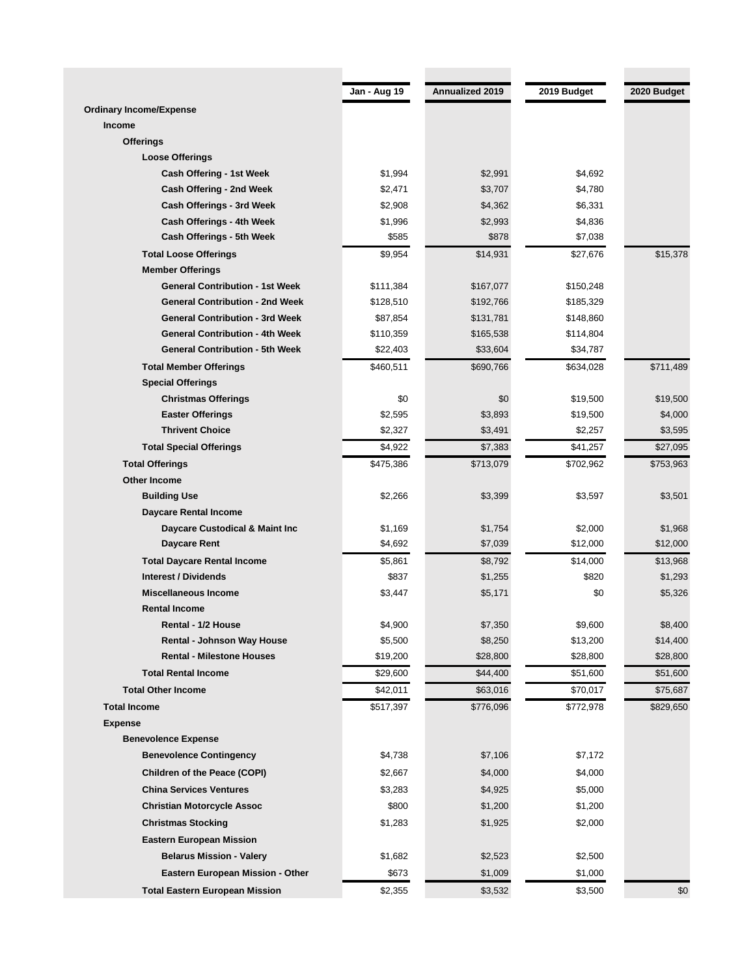| Annualized 2019<br>Jan - Aug 19<br>2019 Budget<br>2020 Budget<br><b>Ordinary Income/Expense</b><br>Income<br><b>Offerings</b><br><b>Loose Offerings</b><br>\$1,994<br>\$2,991<br>\$4,692<br>Cash Offering - 1st Week<br>Cash Offering - 2nd Week<br>\$2,471<br>\$3,707<br>\$4,780<br>Cash Offerings - 3rd Week<br>\$2,908<br>\$4,362<br>\$6,331<br>Cash Offerings - 4th Week<br>\$1,996<br>\$4,836<br>\$2,993<br>Cash Offerings - 5th Week<br>\$585<br>\$878<br>\$7,038<br>\$15,378<br>\$9,954<br><b>Total Loose Offerings</b><br>\$14,931<br>\$27,676<br><b>Member Offerings</b><br><b>General Contribution - 1st Week</b><br>\$111,384<br>\$150,248<br>\$167,077<br><b>General Contribution - 2nd Week</b><br>\$128,510<br>\$185,329<br>\$192,766<br><b>General Contribution - 3rd Week</b><br>\$87,854<br>\$131,781<br>\$148,860<br><b>General Contribution - 4th Week</b><br>\$110,359<br>\$165,538<br>\$114,804<br><b>General Contribution - 5th Week</b><br>\$22,403<br>\$33,604<br>\$34,787<br>\$460,511<br>\$711,489<br><b>Total Member Offerings</b><br>\$690,766<br>\$634,028<br><b>Special Offerings</b><br>\$0<br><b>Christmas Offerings</b><br>\$0<br>\$19,500<br>\$19,500<br>\$2,595<br><b>Easter Offerings</b><br>\$3,893<br>\$19,500<br>\$4,000<br><b>Thrivent Choice</b><br>\$2,327<br>\$3,491<br>\$2,257<br>\$3,595<br>\$41,257<br>\$27,095<br><b>Total Special Offerings</b><br>\$4,922<br>\$7,383<br>\$475,386<br><b>Total Offerings</b><br>\$713,079<br>\$702,962<br>\$753,963<br><b>Other Income</b><br><b>Building Use</b><br>\$2,266<br>\$3,399<br>\$3,597<br>\$3,501<br><b>Daycare Rental Income</b><br>Daycare Custodical & Maint Inc<br>\$1,169<br>\$1,754<br>\$2,000<br>\$1,968<br>Daycare Rent<br>\$4,692<br>\$12,000<br>\$12,000<br>\$7,039<br>\$5,861<br>\$14,000<br>\$13,968<br><b>Total Daycare Rental Income</b><br>\$8,792<br><b>Interest / Dividends</b><br>\$1,293<br>\$837<br>\$1,255<br>\$820<br>Miscellaneous Income<br>\$0<br>\$3,447<br>\$5,171<br>\$5,326<br><b>Rental Income</b><br>Rental - 1/2 House<br>\$4,900<br>\$7,350<br>\$9,600<br>\$8,400<br>\$5,500<br><b>Rental - Johnson Way House</b><br>\$8,250<br>\$13,200<br>\$14,400<br><b>Rental - Milestone Houses</b><br>\$19,200<br>\$28,800<br>\$28,800<br>\$28,800<br><b>Total Rental Income</b><br>\$29,600<br>\$44,400<br>\$51,600<br><b>Total Other Income</b><br>\$42,011<br>\$70,017<br>\$63,016<br><b>Total Income</b><br>\$517,397<br>\$772,978<br>\$776,096<br><b>Expense</b><br><b>Benevolence Expense</b><br><b>Benevolence Contingency</b><br>\$4,738<br>\$7,106<br>\$7,172<br>Children of the Peace (COPI)<br>\$2,667<br>\$4,000<br>\$4,000<br><b>China Services Ventures</b><br>\$3,283<br>\$4,925<br>\$5,000<br><b>Christian Motorcycle Assoc</b><br>\$800<br>\$1,200<br>\$1,200<br><b>Christmas Stocking</b><br>\$1,283<br>\$1,925<br>\$2,000<br><b>Eastern European Mission</b><br><b>Belarus Mission - Valery</b><br>\$2,500<br>\$1,682<br>\$2,523<br>Eastern European Mission - Other<br>\$673<br>\$1,009<br>\$1,000<br><b>Total Eastern European Mission</b><br>\$2,355<br>\$3,532<br>\$3,500<br>\$0 |  |  |           |
|----------------------------------------------------------------------------------------------------------------------------------------------------------------------------------------------------------------------------------------------------------------------------------------------------------------------------------------------------------------------------------------------------------------------------------------------------------------------------------------------------------------------------------------------------------------------------------------------------------------------------------------------------------------------------------------------------------------------------------------------------------------------------------------------------------------------------------------------------------------------------------------------------------------------------------------------------------------------------------------------------------------------------------------------------------------------------------------------------------------------------------------------------------------------------------------------------------------------------------------------------------------------------------------------------------------------------------------------------------------------------------------------------------------------------------------------------------------------------------------------------------------------------------------------------------------------------------------------------------------------------------------------------------------------------------------------------------------------------------------------------------------------------------------------------------------------------------------------------------------------------------------------------------------------------------------------------------------------------------------------------------------------------------------------------------------------------------------------------------------------------------------------------------------------------------------------------------------------------------------------------------------------------------------------------------------------------------------------------------------------------------------------------------------------------------------------------------------------------------------------------------------------------------------------------------------------------------------------------------------------------------------------------------------------------------------------------------------------------------------------------------------------------------------------------------------------------------------------------------------------------------------------------------------------------------------------------------------------------------------------------------------------------------------------------------------------------------------------------------------------------|--|--|-----------|
|                                                                                                                                                                                                                                                                                                                                                                                                                                                                                                                                                                                                                                                                                                                                                                                                                                                                                                                                                                                                                                                                                                                                                                                                                                                                                                                                                                                                                                                                                                                                                                                                                                                                                                                                                                                                                                                                                                                                                                                                                                                                                                                                                                                                                                                                                                                                                                                                                                                                                                                                                                                                                                                                                                                                                                                                                                                                                                                                                                                                                                                                                                                            |  |  |           |
|                                                                                                                                                                                                                                                                                                                                                                                                                                                                                                                                                                                                                                                                                                                                                                                                                                                                                                                                                                                                                                                                                                                                                                                                                                                                                                                                                                                                                                                                                                                                                                                                                                                                                                                                                                                                                                                                                                                                                                                                                                                                                                                                                                                                                                                                                                                                                                                                                                                                                                                                                                                                                                                                                                                                                                                                                                                                                                                                                                                                                                                                                                                            |  |  |           |
|                                                                                                                                                                                                                                                                                                                                                                                                                                                                                                                                                                                                                                                                                                                                                                                                                                                                                                                                                                                                                                                                                                                                                                                                                                                                                                                                                                                                                                                                                                                                                                                                                                                                                                                                                                                                                                                                                                                                                                                                                                                                                                                                                                                                                                                                                                                                                                                                                                                                                                                                                                                                                                                                                                                                                                                                                                                                                                                                                                                                                                                                                                                            |  |  |           |
|                                                                                                                                                                                                                                                                                                                                                                                                                                                                                                                                                                                                                                                                                                                                                                                                                                                                                                                                                                                                                                                                                                                                                                                                                                                                                                                                                                                                                                                                                                                                                                                                                                                                                                                                                                                                                                                                                                                                                                                                                                                                                                                                                                                                                                                                                                                                                                                                                                                                                                                                                                                                                                                                                                                                                                                                                                                                                                                                                                                                                                                                                                                            |  |  |           |
|                                                                                                                                                                                                                                                                                                                                                                                                                                                                                                                                                                                                                                                                                                                                                                                                                                                                                                                                                                                                                                                                                                                                                                                                                                                                                                                                                                                                                                                                                                                                                                                                                                                                                                                                                                                                                                                                                                                                                                                                                                                                                                                                                                                                                                                                                                                                                                                                                                                                                                                                                                                                                                                                                                                                                                                                                                                                                                                                                                                                                                                                                                                            |  |  |           |
|                                                                                                                                                                                                                                                                                                                                                                                                                                                                                                                                                                                                                                                                                                                                                                                                                                                                                                                                                                                                                                                                                                                                                                                                                                                                                                                                                                                                                                                                                                                                                                                                                                                                                                                                                                                                                                                                                                                                                                                                                                                                                                                                                                                                                                                                                                                                                                                                                                                                                                                                                                                                                                                                                                                                                                                                                                                                                                                                                                                                                                                                                                                            |  |  |           |
|                                                                                                                                                                                                                                                                                                                                                                                                                                                                                                                                                                                                                                                                                                                                                                                                                                                                                                                                                                                                                                                                                                                                                                                                                                                                                                                                                                                                                                                                                                                                                                                                                                                                                                                                                                                                                                                                                                                                                                                                                                                                                                                                                                                                                                                                                                                                                                                                                                                                                                                                                                                                                                                                                                                                                                                                                                                                                                                                                                                                                                                                                                                            |  |  |           |
|                                                                                                                                                                                                                                                                                                                                                                                                                                                                                                                                                                                                                                                                                                                                                                                                                                                                                                                                                                                                                                                                                                                                                                                                                                                                                                                                                                                                                                                                                                                                                                                                                                                                                                                                                                                                                                                                                                                                                                                                                                                                                                                                                                                                                                                                                                                                                                                                                                                                                                                                                                                                                                                                                                                                                                                                                                                                                                                                                                                                                                                                                                                            |  |  |           |
|                                                                                                                                                                                                                                                                                                                                                                                                                                                                                                                                                                                                                                                                                                                                                                                                                                                                                                                                                                                                                                                                                                                                                                                                                                                                                                                                                                                                                                                                                                                                                                                                                                                                                                                                                                                                                                                                                                                                                                                                                                                                                                                                                                                                                                                                                                                                                                                                                                                                                                                                                                                                                                                                                                                                                                                                                                                                                                                                                                                                                                                                                                                            |  |  |           |
|                                                                                                                                                                                                                                                                                                                                                                                                                                                                                                                                                                                                                                                                                                                                                                                                                                                                                                                                                                                                                                                                                                                                                                                                                                                                                                                                                                                                                                                                                                                                                                                                                                                                                                                                                                                                                                                                                                                                                                                                                                                                                                                                                                                                                                                                                                                                                                                                                                                                                                                                                                                                                                                                                                                                                                                                                                                                                                                                                                                                                                                                                                                            |  |  |           |
|                                                                                                                                                                                                                                                                                                                                                                                                                                                                                                                                                                                                                                                                                                                                                                                                                                                                                                                                                                                                                                                                                                                                                                                                                                                                                                                                                                                                                                                                                                                                                                                                                                                                                                                                                                                                                                                                                                                                                                                                                                                                                                                                                                                                                                                                                                                                                                                                                                                                                                                                                                                                                                                                                                                                                                                                                                                                                                                                                                                                                                                                                                                            |  |  |           |
|                                                                                                                                                                                                                                                                                                                                                                                                                                                                                                                                                                                                                                                                                                                                                                                                                                                                                                                                                                                                                                                                                                                                                                                                                                                                                                                                                                                                                                                                                                                                                                                                                                                                                                                                                                                                                                                                                                                                                                                                                                                                                                                                                                                                                                                                                                                                                                                                                                                                                                                                                                                                                                                                                                                                                                                                                                                                                                                                                                                                                                                                                                                            |  |  |           |
|                                                                                                                                                                                                                                                                                                                                                                                                                                                                                                                                                                                                                                                                                                                                                                                                                                                                                                                                                                                                                                                                                                                                                                                                                                                                                                                                                                                                                                                                                                                                                                                                                                                                                                                                                                                                                                                                                                                                                                                                                                                                                                                                                                                                                                                                                                                                                                                                                                                                                                                                                                                                                                                                                                                                                                                                                                                                                                                                                                                                                                                                                                                            |  |  |           |
|                                                                                                                                                                                                                                                                                                                                                                                                                                                                                                                                                                                                                                                                                                                                                                                                                                                                                                                                                                                                                                                                                                                                                                                                                                                                                                                                                                                                                                                                                                                                                                                                                                                                                                                                                                                                                                                                                                                                                                                                                                                                                                                                                                                                                                                                                                                                                                                                                                                                                                                                                                                                                                                                                                                                                                                                                                                                                                                                                                                                                                                                                                                            |  |  |           |
|                                                                                                                                                                                                                                                                                                                                                                                                                                                                                                                                                                                                                                                                                                                                                                                                                                                                                                                                                                                                                                                                                                                                                                                                                                                                                                                                                                                                                                                                                                                                                                                                                                                                                                                                                                                                                                                                                                                                                                                                                                                                                                                                                                                                                                                                                                                                                                                                                                                                                                                                                                                                                                                                                                                                                                                                                                                                                                                                                                                                                                                                                                                            |  |  |           |
|                                                                                                                                                                                                                                                                                                                                                                                                                                                                                                                                                                                                                                                                                                                                                                                                                                                                                                                                                                                                                                                                                                                                                                                                                                                                                                                                                                                                                                                                                                                                                                                                                                                                                                                                                                                                                                                                                                                                                                                                                                                                                                                                                                                                                                                                                                                                                                                                                                                                                                                                                                                                                                                                                                                                                                                                                                                                                                                                                                                                                                                                                                                            |  |  |           |
|                                                                                                                                                                                                                                                                                                                                                                                                                                                                                                                                                                                                                                                                                                                                                                                                                                                                                                                                                                                                                                                                                                                                                                                                                                                                                                                                                                                                                                                                                                                                                                                                                                                                                                                                                                                                                                                                                                                                                                                                                                                                                                                                                                                                                                                                                                                                                                                                                                                                                                                                                                                                                                                                                                                                                                                                                                                                                                                                                                                                                                                                                                                            |  |  |           |
|                                                                                                                                                                                                                                                                                                                                                                                                                                                                                                                                                                                                                                                                                                                                                                                                                                                                                                                                                                                                                                                                                                                                                                                                                                                                                                                                                                                                                                                                                                                                                                                                                                                                                                                                                                                                                                                                                                                                                                                                                                                                                                                                                                                                                                                                                                                                                                                                                                                                                                                                                                                                                                                                                                                                                                                                                                                                                                                                                                                                                                                                                                                            |  |  |           |
|                                                                                                                                                                                                                                                                                                                                                                                                                                                                                                                                                                                                                                                                                                                                                                                                                                                                                                                                                                                                                                                                                                                                                                                                                                                                                                                                                                                                                                                                                                                                                                                                                                                                                                                                                                                                                                                                                                                                                                                                                                                                                                                                                                                                                                                                                                                                                                                                                                                                                                                                                                                                                                                                                                                                                                                                                                                                                                                                                                                                                                                                                                                            |  |  |           |
|                                                                                                                                                                                                                                                                                                                                                                                                                                                                                                                                                                                                                                                                                                                                                                                                                                                                                                                                                                                                                                                                                                                                                                                                                                                                                                                                                                                                                                                                                                                                                                                                                                                                                                                                                                                                                                                                                                                                                                                                                                                                                                                                                                                                                                                                                                                                                                                                                                                                                                                                                                                                                                                                                                                                                                                                                                                                                                                                                                                                                                                                                                                            |  |  |           |
|                                                                                                                                                                                                                                                                                                                                                                                                                                                                                                                                                                                                                                                                                                                                                                                                                                                                                                                                                                                                                                                                                                                                                                                                                                                                                                                                                                                                                                                                                                                                                                                                                                                                                                                                                                                                                                                                                                                                                                                                                                                                                                                                                                                                                                                                                                                                                                                                                                                                                                                                                                                                                                                                                                                                                                                                                                                                                                                                                                                                                                                                                                                            |  |  |           |
|                                                                                                                                                                                                                                                                                                                                                                                                                                                                                                                                                                                                                                                                                                                                                                                                                                                                                                                                                                                                                                                                                                                                                                                                                                                                                                                                                                                                                                                                                                                                                                                                                                                                                                                                                                                                                                                                                                                                                                                                                                                                                                                                                                                                                                                                                                                                                                                                                                                                                                                                                                                                                                                                                                                                                                                                                                                                                                                                                                                                                                                                                                                            |  |  |           |
|                                                                                                                                                                                                                                                                                                                                                                                                                                                                                                                                                                                                                                                                                                                                                                                                                                                                                                                                                                                                                                                                                                                                                                                                                                                                                                                                                                                                                                                                                                                                                                                                                                                                                                                                                                                                                                                                                                                                                                                                                                                                                                                                                                                                                                                                                                                                                                                                                                                                                                                                                                                                                                                                                                                                                                                                                                                                                                                                                                                                                                                                                                                            |  |  |           |
|                                                                                                                                                                                                                                                                                                                                                                                                                                                                                                                                                                                                                                                                                                                                                                                                                                                                                                                                                                                                                                                                                                                                                                                                                                                                                                                                                                                                                                                                                                                                                                                                                                                                                                                                                                                                                                                                                                                                                                                                                                                                                                                                                                                                                                                                                                                                                                                                                                                                                                                                                                                                                                                                                                                                                                                                                                                                                                                                                                                                                                                                                                                            |  |  |           |
|                                                                                                                                                                                                                                                                                                                                                                                                                                                                                                                                                                                                                                                                                                                                                                                                                                                                                                                                                                                                                                                                                                                                                                                                                                                                                                                                                                                                                                                                                                                                                                                                                                                                                                                                                                                                                                                                                                                                                                                                                                                                                                                                                                                                                                                                                                                                                                                                                                                                                                                                                                                                                                                                                                                                                                                                                                                                                                                                                                                                                                                                                                                            |  |  |           |
|                                                                                                                                                                                                                                                                                                                                                                                                                                                                                                                                                                                                                                                                                                                                                                                                                                                                                                                                                                                                                                                                                                                                                                                                                                                                                                                                                                                                                                                                                                                                                                                                                                                                                                                                                                                                                                                                                                                                                                                                                                                                                                                                                                                                                                                                                                                                                                                                                                                                                                                                                                                                                                                                                                                                                                                                                                                                                                                                                                                                                                                                                                                            |  |  |           |
|                                                                                                                                                                                                                                                                                                                                                                                                                                                                                                                                                                                                                                                                                                                                                                                                                                                                                                                                                                                                                                                                                                                                                                                                                                                                                                                                                                                                                                                                                                                                                                                                                                                                                                                                                                                                                                                                                                                                                                                                                                                                                                                                                                                                                                                                                                                                                                                                                                                                                                                                                                                                                                                                                                                                                                                                                                                                                                                                                                                                                                                                                                                            |  |  |           |
|                                                                                                                                                                                                                                                                                                                                                                                                                                                                                                                                                                                                                                                                                                                                                                                                                                                                                                                                                                                                                                                                                                                                                                                                                                                                                                                                                                                                                                                                                                                                                                                                                                                                                                                                                                                                                                                                                                                                                                                                                                                                                                                                                                                                                                                                                                                                                                                                                                                                                                                                                                                                                                                                                                                                                                                                                                                                                                                                                                                                                                                                                                                            |  |  |           |
|                                                                                                                                                                                                                                                                                                                                                                                                                                                                                                                                                                                                                                                                                                                                                                                                                                                                                                                                                                                                                                                                                                                                                                                                                                                                                                                                                                                                                                                                                                                                                                                                                                                                                                                                                                                                                                                                                                                                                                                                                                                                                                                                                                                                                                                                                                                                                                                                                                                                                                                                                                                                                                                                                                                                                                                                                                                                                                                                                                                                                                                                                                                            |  |  |           |
|                                                                                                                                                                                                                                                                                                                                                                                                                                                                                                                                                                                                                                                                                                                                                                                                                                                                                                                                                                                                                                                                                                                                                                                                                                                                                                                                                                                                                                                                                                                                                                                                                                                                                                                                                                                                                                                                                                                                                                                                                                                                                                                                                                                                                                                                                                                                                                                                                                                                                                                                                                                                                                                                                                                                                                                                                                                                                                                                                                                                                                                                                                                            |  |  |           |
|                                                                                                                                                                                                                                                                                                                                                                                                                                                                                                                                                                                                                                                                                                                                                                                                                                                                                                                                                                                                                                                                                                                                                                                                                                                                                                                                                                                                                                                                                                                                                                                                                                                                                                                                                                                                                                                                                                                                                                                                                                                                                                                                                                                                                                                                                                                                                                                                                                                                                                                                                                                                                                                                                                                                                                                                                                                                                                                                                                                                                                                                                                                            |  |  |           |
|                                                                                                                                                                                                                                                                                                                                                                                                                                                                                                                                                                                                                                                                                                                                                                                                                                                                                                                                                                                                                                                                                                                                                                                                                                                                                                                                                                                                                                                                                                                                                                                                                                                                                                                                                                                                                                                                                                                                                                                                                                                                                                                                                                                                                                                                                                                                                                                                                                                                                                                                                                                                                                                                                                                                                                                                                                                                                                                                                                                                                                                                                                                            |  |  |           |
|                                                                                                                                                                                                                                                                                                                                                                                                                                                                                                                                                                                                                                                                                                                                                                                                                                                                                                                                                                                                                                                                                                                                                                                                                                                                                                                                                                                                                                                                                                                                                                                                                                                                                                                                                                                                                                                                                                                                                                                                                                                                                                                                                                                                                                                                                                                                                                                                                                                                                                                                                                                                                                                                                                                                                                                                                                                                                                                                                                                                                                                                                                                            |  |  |           |
|                                                                                                                                                                                                                                                                                                                                                                                                                                                                                                                                                                                                                                                                                                                                                                                                                                                                                                                                                                                                                                                                                                                                                                                                                                                                                                                                                                                                                                                                                                                                                                                                                                                                                                                                                                                                                                                                                                                                                                                                                                                                                                                                                                                                                                                                                                                                                                                                                                                                                                                                                                                                                                                                                                                                                                                                                                                                                                                                                                                                                                                                                                                            |  |  |           |
|                                                                                                                                                                                                                                                                                                                                                                                                                                                                                                                                                                                                                                                                                                                                                                                                                                                                                                                                                                                                                                                                                                                                                                                                                                                                                                                                                                                                                                                                                                                                                                                                                                                                                                                                                                                                                                                                                                                                                                                                                                                                                                                                                                                                                                                                                                                                                                                                                                                                                                                                                                                                                                                                                                                                                                                                                                                                                                                                                                                                                                                                                                                            |  |  |           |
|                                                                                                                                                                                                                                                                                                                                                                                                                                                                                                                                                                                                                                                                                                                                                                                                                                                                                                                                                                                                                                                                                                                                                                                                                                                                                                                                                                                                                                                                                                                                                                                                                                                                                                                                                                                                                                                                                                                                                                                                                                                                                                                                                                                                                                                                                                                                                                                                                                                                                                                                                                                                                                                                                                                                                                                                                                                                                                                                                                                                                                                                                                                            |  |  |           |
|                                                                                                                                                                                                                                                                                                                                                                                                                                                                                                                                                                                                                                                                                                                                                                                                                                                                                                                                                                                                                                                                                                                                                                                                                                                                                                                                                                                                                                                                                                                                                                                                                                                                                                                                                                                                                                                                                                                                                                                                                                                                                                                                                                                                                                                                                                                                                                                                                                                                                                                                                                                                                                                                                                                                                                                                                                                                                                                                                                                                                                                                                                                            |  |  | \$51,600  |
|                                                                                                                                                                                                                                                                                                                                                                                                                                                                                                                                                                                                                                                                                                                                                                                                                                                                                                                                                                                                                                                                                                                                                                                                                                                                                                                                                                                                                                                                                                                                                                                                                                                                                                                                                                                                                                                                                                                                                                                                                                                                                                                                                                                                                                                                                                                                                                                                                                                                                                                                                                                                                                                                                                                                                                                                                                                                                                                                                                                                                                                                                                                            |  |  | \$75,687  |
|                                                                                                                                                                                                                                                                                                                                                                                                                                                                                                                                                                                                                                                                                                                                                                                                                                                                                                                                                                                                                                                                                                                                                                                                                                                                                                                                                                                                                                                                                                                                                                                                                                                                                                                                                                                                                                                                                                                                                                                                                                                                                                                                                                                                                                                                                                                                                                                                                                                                                                                                                                                                                                                                                                                                                                                                                                                                                                                                                                                                                                                                                                                            |  |  | \$829,650 |
|                                                                                                                                                                                                                                                                                                                                                                                                                                                                                                                                                                                                                                                                                                                                                                                                                                                                                                                                                                                                                                                                                                                                                                                                                                                                                                                                                                                                                                                                                                                                                                                                                                                                                                                                                                                                                                                                                                                                                                                                                                                                                                                                                                                                                                                                                                                                                                                                                                                                                                                                                                                                                                                                                                                                                                                                                                                                                                                                                                                                                                                                                                                            |  |  |           |
|                                                                                                                                                                                                                                                                                                                                                                                                                                                                                                                                                                                                                                                                                                                                                                                                                                                                                                                                                                                                                                                                                                                                                                                                                                                                                                                                                                                                                                                                                                                                                                                                                                                                                                                                                                                                                                                                                                                                                                                                                                                                                                                                                                                                                                                                                                                                                                                                                                                                                                                                                                                                                                                                                                                                                                                                                                                                                                                                                                                                                                                                                                                            |  |  |           |
|                                                                                                                                                                                                                                                                                                                                                                                                                                                                                                                                                                                                                                                                                                                                                                                                                                                                                                                                                                                                                                                                                                                                                                                                                                                                                                                                                                                                                                                                                                                                                                                                                                                                                                                                                                                                                                                                                                                                                                                                                                                                                                                                                                                                                                                                                                                                                                                                                                                                                                                                                                                                                                                                                                                                                                                                                                                                                                                                                                                                                                                                                                                            |  |  |           |
|                                                                                                                                                                                                                                                                                                                                                                                                                                                                                                                                                                                                                                                                                                                                                                                                                                                                                                                                                                                                                                                                                                                                                                                                                                                                                                                                                                                                                                                                                                                                                                                                                                                                                                                                                                                                                                                                                                                                                                                                                                                                                                                                                                                                                                                                                                                                                                                                                                                                                                                                                                                                                                                                                                                                                                                                                                                                                                                                                                                                                                                                                                                            |  |  |           |
|                                                                                                                                                                                                                                                                                                                                                                                                                                                                                                                                                                                                                                                                                                                                                                                                                                                                                                                                                                                                                                                                                                                                                                                                                                                                                                                                                                                                                                                                                                                                                                                                                                                                                                                                                                                                                                                                                                                                                                                                                                                                                                                                                                                                                                                                                                                                                                                                                                                                                                                                                                                                                                                                                                                                                                                                                                                                                                                                                                                                                                                                                                                            |  |  |           |
|                                                                                                                                                                                                                                                                                                                                                                                                                                                                                                                                                                                                                                                                                                                                                                                                                                                                                                                                                                                                                                                                                                                                                                                                                                                                                                                                                                                                                                                                                                                                                                                                                                                                                                                                                                                                                                                                                                                                                                                                                                                                                                                                                                                                                                                                                                                                                                                                                                                                                                                                                                                                                                                                                                                                                                                                                                                                                                                                                                                                                                                                                                                            |  |  |           |
|                                                                                                                                                                                                                                                                                                                                                                                                                                                                                                                                                                                                                                                                                                                                                                                                                                                                                                                                                                                                                                                                                                                                                                                                                                                                                                                                                                                                                                                                                                                                                                                                                                                                                                                                                                                                                                                                                                                                                                                                                                                                                                                                                                                                                                                                                                                                                                                                                                                                                                                                                                                                                                                                                                                                                                                                                                                                                                                                                                                                                                                                                                                            |  |  |           |
|                                                                                                                                                                                                                                                                                                                                                                                                                                                                                                                                                                                                                                                                                                                                                                                                                                                                                                                                                                                                                                                                                                                                                                                                                                                                                                                                                                                                                                                                                                                                                                                                                                                                                                                                                                                                                                                                                                                                                                                                                                                                                                                                                                                                                                                                                                                                                                                                                                                                                                                                                                                                                                                                                                                                                                                                                                                                                                                                                                                                                                                                                                                            |  |  |           |
|                                                                                                                                                                                                                                                                                                                                                                                                                                                                                                                                                                                                                                                                                                                                                                                                                                                                                                                                                                                                                                                                                                                                                                                                                                                                                                                                                                                                                                                                                                                                                                                                                                                                                                                                                                                                                                                                                                                                                                                                                                                                                                                                                                                                                                                                                                                                                                                                                                                                                                                                                                                                                                                                                                                                                                                                                                                                                                                                                                                                                                                                                                                            |  |  |           |
|                                                                                                                                                                                                                                                                                                                                                                                                                                                                                                                                                                                                                                                                                                                                                                                                                                                                                                                                                                                                                                                                                                                                                                                                                                                                                                                                                                                                                                                                                                                                                                                                                                                                                                                                                                                                                                                                                                                                                                                                                                                                                                                                                                                                                                                                                                                                                                                                                                                                                                                                                                                                                                                                                                                                                                                                                                                                                                                                                                                                                                                                                                                            |  |  |           |
|                                                                                                                                                                                                                                                                                                                                                                                                                                                                                                                                                                                                                                                                                                                                                                                                                                                                                                                                                                                                                                                                                                                                                                                                                                                                                                                                                                                                                                                                                                                                                                                                                                                                                                                                                                                                                                                                                                                                                                                                                                                                                                                                                                                                                                                                                                                                                                                                                                                                                                                                                                                                                                                                                                                                                                                                                                                                                                                                                                                                                                                                                                                            |  |  |           |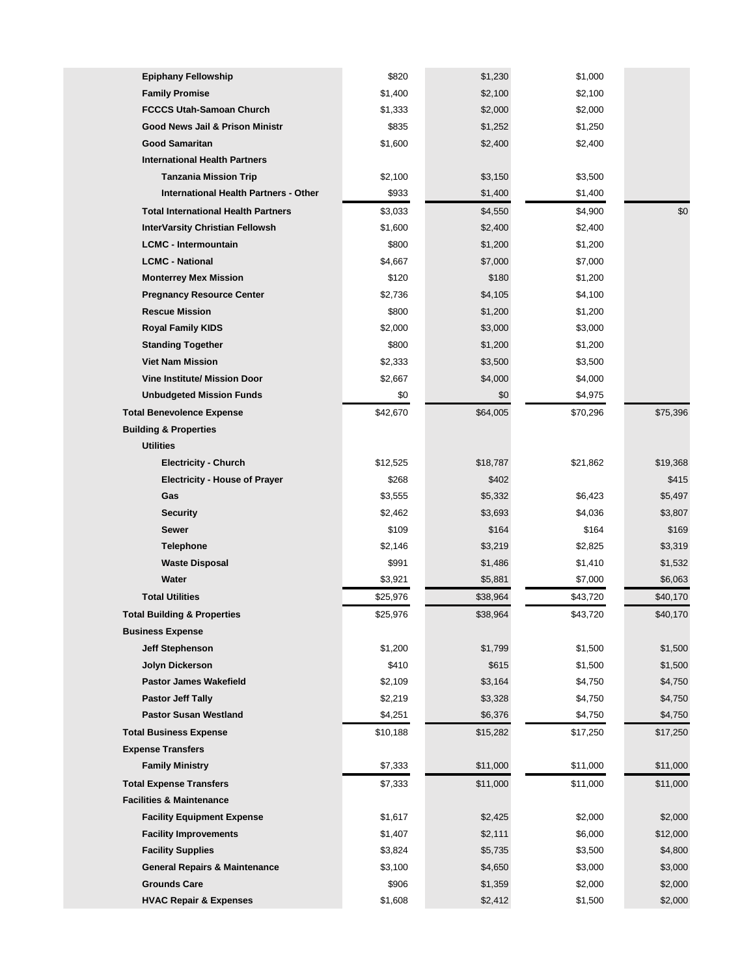| <b>Epiphany Fellowship</b>                   | \$820    | \$1,230  | \$1,000  |          |
|----------------------------------------------|----------|----------|----------|----------|
| <b>Family Promise</b>                        | \$1,400  | \$2,100  | \$2,100  |          |
| <b>FCCCS Utah-Samoan Church</b>              | \$1,333  | \$2,000  | \$2,000  |          |
| Good News Jail & Prison Ministr              | \$835    | \$1,252  | \$1,250  |          |
| <b>Good Samaritan</b>                        | \$1,600  | \$2,400  | \$2,400  |          |
| <b>International Health Partners</b>         |          |          |          |          |
| <b>Tanzania Mission Trip</b>                 | \$2,100  | \$3,150  | \$3,500  |          |
| <b>International Health Partners - Other</b> | \$933    | \$1,400  | \$1,400  |          |
| <b>Total International Health Partners</b>   | \$3,033  | \$4,550  | \$4,900  | \$0      |
| <b>InterVarsity Christian Fellowsh</b>       | \$1,600  | \$2,400  | \$2,400  |          |
| <b>LCMC - Intermountain</b>                  | \$800    | \$1,200  | \$1,200  |          |
| <b>LCMC - National</b>                       | \$4,667  | \$7,000  | \$7,000  |          |
| <b>Monterrey Mex Mission</b>                 | \$120    | \$180    | \$1,200  |          |
| <b>Pregnancy Resource Center</b>             | \$2,736  | \$4,105  | \$4,100  |          |
| <b>Rescue Mission</b>                        | \$800    | \$1,200  | \$1,200  |          |
| <b>Royal Family KIDS</b>                     | \$2,000  | \$3,000  | \$3,000  |          |
| <b>Standing Together</b>                     | \$800    | \$1,200  | \$1,200  |          |
| <b>Viet Nam Mission</b>                      | \$2,333  | \$3,500  | \$3,500  |          |
| <b>Vine Institute/ Mission Door</b>          | \$2,667  | \$4,000  | \$4,000  |          |
| <b>Unbudgeted Mission Funds</b>              | \$0      | \$0      | \$4,975  |          |
| <b>Total Benevolence Expense</b>             | \$42,670 | \$64,005 | \$70,296 | \$75,396 |
| <b>Building &amp; Properties</b>             |          |          |          |          |
| <b>Utilities</b>                             |          |          |          |          |
| <b>Electricity - Church</b>                  | \$12,525 | \$18,787 | \$21,862 | \$19,368 |
| <b>Electricity - House of Prayer</b>         | \$268    | \$402    |          | \$415    |
| Gas                                          | \$3,555  | \$5,332  | \$6,423  | \$5,497  |
| <b>Security</b>                              | \$2,462  | \$3,693  | \$4,036  | \$3,807  |
| Sewer                                        | \$109    | \$164    | \$164    | \$169    |
| <b>Telephone</b>                             | \$2,146  | \$3,219  | \$2,825  | \$3,319  |
| <b>Waste Disposal</b>                        | \$991    | \$1,486  | \$1,410  | \$1,532  |
| Water                                        | \$3,921  | \$5,881  | \$7,000  | \$6,063  |
| <b>Total Utilities</b>                       | \$25,976 | \$38,964 | \$43,720 | \$40,170 |
| <b>Total Building &amp; Properties</b>       | \$25,976 | \$38,964 | \$43,720 | \$40,170 |
| <b>Business Expense</b>                      |          |          |          |          |
| <b>Jeff Stephenson</b>                       | \$1,200  | \$1,799  | \$1,500  | \$1,500  |
| Jolyn Dickerson                              | \$410    | \$615    | \$1,500  | \$1,500  |
| <b>Pastor James Wakefield</b>                | \$2,109  | \$3,164  | \$4,750  | \$4,750  |
| <b>Pastor Jeff Tally</b>                     | \$2,219  | \$3,328  | \$4,750  | \$4,750  |
| <b>Pastor Susan Westland</b>                 | \$4,251  | \$6,376  | \$4,750  | \$4,750  |
| <b>Total Business Expense</b>                | \$10,188 | \$15,282 | \$17,250 | \$17,250 |
| <b>Expense Transfers</b>                     |          |          |          |          |
| <b>Family Ministry</b>                       | \$7,333  | \$11,000 | \$11,000 | \$11,000 |
| <b>Total Expense Transfers</b>               | \$7,333  | \$11,000 | \$11,000 | \$11,000 |
| <b>Facilities &amp; Maintenance</b>          |          |          |          |          |
| <b>Facility Equipment Expense</b>            | \$1,617  | \$2,425  | \$2,000  | \$2,000  |
| <b>Facility Improvements</b>                 | \$1,407  | \$2,111  | \$6,000  | \$12,000 |
| <b>Facility Supplies</b>                     | \$3,824  | \$5,735  | \$3,500  | \$4,800  |
| <b>General Repairs &amp; Maintenance</b>     | \$3,100  | \$4,650  | \$3,000  | \$3,000  |
| <b>Grounds Care</b>                          | \$906    | \$1,359  | \$2,000  | \$2,000  |
| <b>HVAC Repair &amp; Expenses</b>            | \$1,608  | \$2,412  | \$1,500  | \$2,000  |
|                                              |          |          |          |          |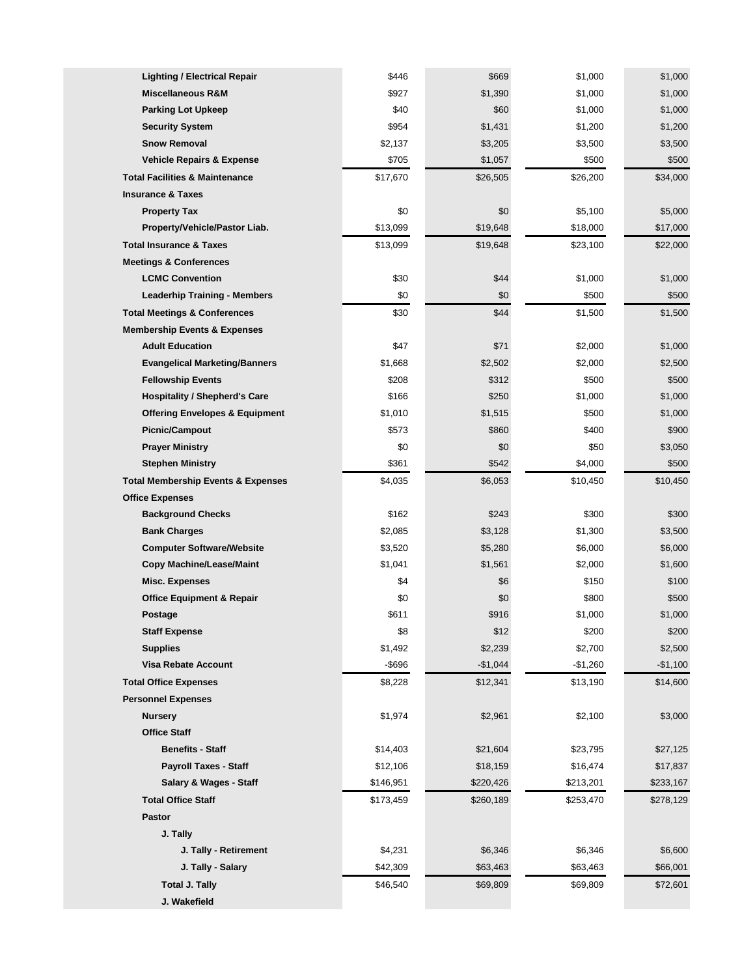| <b>Lighting / Electrical Repair</b>           | \$446     | \$669     | \$1,000   | \$1,000   |
|-----------------------------------------------|-----------|-----------|-----------|-----------|
| Miscellaneous R&M                             | \$927     | \$1,390   | \$1,000   | \$1,000   |
| <b>Parking Lot Upkeep</b>                     | \$40      | \$60      | \$1,000   | \$1,000   |
| <b>Security System</b>                        | \$954     | \$1,431   | \$1,200   | \$1,200   |
| <b>Snow Removal</b>                           | \$2,137   | \$3,205   | \$3,500   | \$3,500   |
| <b>Vehicle Repairs &amp; Expense</b>          | \$705     | \$1,057   | \$500     | \$500     |
| <b>Total Facilities &amp; Maintenance</b>     | \$17,670  | \$26,505  | \$26,200  | \$34,000  |
| <b>Insurance &amp; Taxes</b>                  |           |           |           |           |
| <b>Property Tax</b>                           | \$0       | \$0       | \$5,100   | \$5,000   |
| Property/Vehicle/Pastor Liab.                 | \$13,099  | \$19,648  | \$18,000  | \$17,000  |
| <b>Total Insurance &amp; Taxes</b>            | \$13,099  | \$19,648  | \$23,100  | \$22,000  |
| <b>Meetings &amp; Conferences</b>             |           |           |           |           |
| <b>LCMC Convention</b>                        | \$30      | \$44      | \$1,000   | \$1,000   |
| <b>Leaderhip Training - Members</b>           | \$0       | \$0       | \$500     | \$500     |
| <b>Total Meetings &amp; Conferences</b>       | \$30      | \$44      | \$1,500   | \$1,500   |
| <b>Membership Events &amp; Expenses</b>       |           |           |           |           |
| <b>Adult Education</b>                        | \$47      | \$71      | \$2,000   | \$1,000   |
| <b>Evangelical Marketing/Banners</b>          | \$1,668   | \$2,502   | \$2,000   | \$2,500   |
| <b>Fellowship Events</b>                      | \$208     | \$312     | \$500     | \$500     |
| <b>Hospitality / Shepherd's Care</b>          | \$166     | \$250     | \$1,000   | \$1,000   |
| <b>Offering Envelopes &amp; Equipment</b>     | \$1,010   | \$1,515   | \$500     | \$1,000   |
| <b>Picnic/Campout</b>                         | \$573     | \$860     | \$400     | \$900     |
| <b>Prayer Ministry</b>                        | \$0       | \$0       | \$50      | \$3,050   |
| <b>Stephen Ministry</b>                       | \$361     | \$542     | \$4,000   | \$500     |
| <b>Total Membership Events &amp; Expenses</b> | \$4,035   | \$6,053   | \$10,450  | \$10,450  |
| <b>Office Expenses</b>                        |           |           |           |           |
| <b>Background Checks</b>                      | \$162     | \$243     | \$300     | \$300     |
| <b>Bank Charges</b>                           | \$2,085   | \$3,128   | \$1,300   | \$3,500   |
| <b>Computer Software/Website</b>              | \$3,520   | \$5,280   | \$6,000   | \$6,000   |
| <b>Copy Machine/Lease/Maint</b>               | \$1,041   | \$1,561   | \$2,000   | \$1,600   |
| Misc. Expenses                                | \$4       | \$6       | \$150     | \$100     |
| <b>Office Equipment &amp; Repair</b>          | \$0       | \$0       | \$800     | \$500     |
| Postage                                       | \$611     | \$916     | \$1,000   | \$1,000   |
| <b>Staff Expense</b>                          | \$8       | \$12      | \$200     | \$200     |
| <b>Supplies</b>                               | \$1,492   | \$2,239   | \$2,700   | \$2,500   |
| <b>Visa Rebate Account</b>                    | $-$ \$696 | $-$1,044$ | $-$1,260$ | $-$1,100$ |
| <b>Total Office Expenses</b>                  | \$8,228   | \$12,341  | \$13,190  | \$14,600  |
| <b>Personnel Expenses</b>                     |           |           |           |           |
| <b>Nursery</b>                                | \$1,974   | \$2,961   | \$2,100   | \$3,000   |
| <b>Office Staff</b>                           |           |           |           |           |
| <b>Benefits - Staff</b>                       | \$14,403  | \$21,604  | \$23,795  | \$27,125  |
| <b>Payroll Taxes - Staff</b>                  | \$12,106  | \$18,159  | \$16,474  | \$17,837  |
| Salary & Wages - Staff                        | \$146,951 | \$220,426 | \$213,201 | \$233,167 |
| <b>Total Office Staff</b>                     | \$173,459 | \$260,189 | \$253,470 | \$278,129 |
| Pastor                                        |           |           |           |           |
| J. Tally                                      |           |           |           |           |
| J. Tally - Retirement                         | \$4,231   | \$6,346   | \$6,346   | \$6,600   |
| J. Tally - Salary                             | \$42,309  | \$63,463  | \$63,463  | \$66,001  |
| <b>Total J. Tally</b>                         | \$46,540  | \$69,809  | \$69,809  | \$72,601  |
| J. Wakefield                                  |           |           |           |           |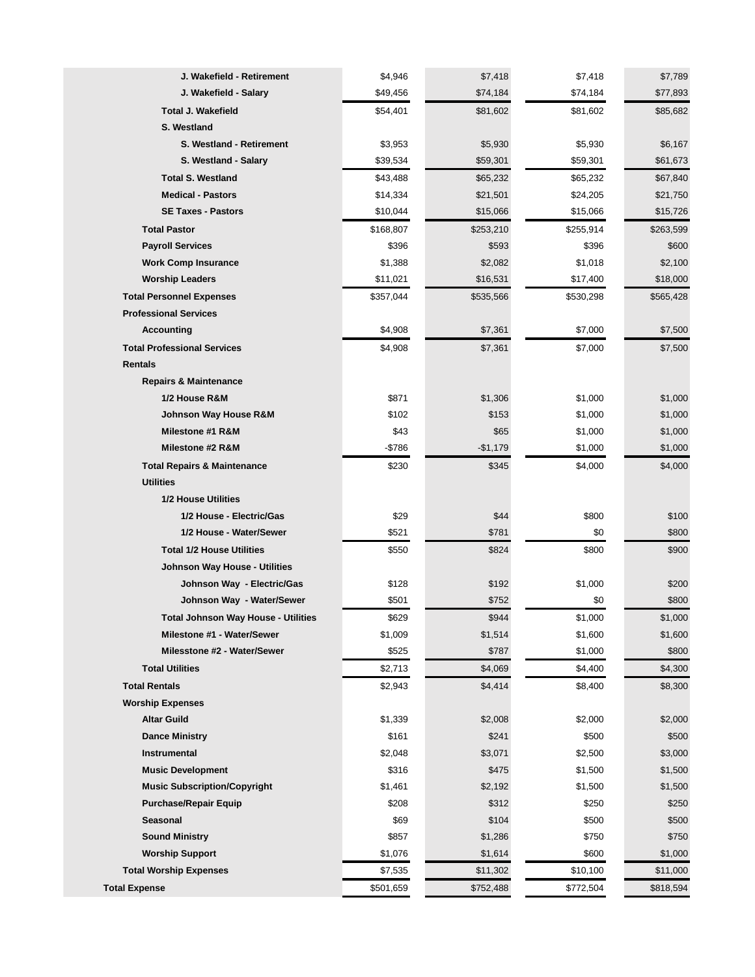| J. Wakefield - Retirement                  | \$4,946   | \$7,418   | \$7,418   | \$7,789   |
|--------------------------------------------|-----------|-----------|-----------|-----------|
| J. Wakefield - Salary                      | \$49,456  | \$74,184  | \$74,184  | \$77,893  |
|                                            |           |           |           |           |
| <b>Total J. Wakefield</b>                  | \$54,401  | \$81,602  | \$81,602  | \$85,682  |
| S. Westland                                |           |           |           |           |
| S. Westland - Retirement                   | \$3,953   | \$5,930   | \$5,930   | \$6,167   |
| S. Westland - Salary                       | \$39,534  | \$59,301  | \$59,301  | \$61,673  |
| <b>Total S. Westland</b>                   | \$43,488  | \$65,232  | \$65,232  | \$67,840  |
| <b>Medical - Pastors</b>                   | \$14,334  | \$21,501  | \$24,205  | \$21,750  |
| <b>SE Taxes - Pastors</b>                  | \$10,044  | \$15,066  | \$15,066  | \$15,726  |
| <b>Total Pastor</b>                        | \$168,807 | \$253,210 | \$255,914 | \$263,599 |
| <b>Payroll Services</b>                    | \$396     | \$593     | \$396     | \$600     |
| <b>Work Comp Insurance</b>                 | \$1,388   | \$2,082   | \$1,018   | \$2,100   |
| <b>Worship Leaders</b>                     | \$11,021  | \$16,531  | \$17,400  | \$18,000  |
| <b>Total Personnel Expenses</b>            | \$357,044 | \$535,566 | \$530,298 | \$565,428 |
| <b>Professional Services</b>               |           |           |           |           |
| <b>Accounting</b>                          | \$4,908   | \$7,361   | \$7,000   | \$7,500   |
| <b>Total Professional Services</b>         | \$4,908   | \$7,361   | \$7,000   | \$7,500   |
| <b>Rentals</b>                             |           |           |           |           |
| <b>Repairs &amp; Maintenance</b>           |           |           |           |           |
| 1/2 House R&M                              | \$871     | \$1,306   | \$1,000   | \$1,000   |
| Johnson Way House R&M                      | \$102     | \$153     | \$1,000   | \$1,000   |
| Milestone #1 R&M                           | \$43      | \$65      | \$1,000   | \$1,000   |
| Milestone #2 R&M                           | -\$786    | $-$1,179$ | \$1,000   | \$1,000   |
| <b>Total Repairs &amp; Maintenance</b>     | \$230     | \$345     | \$4,000   | \$4,000   |
| <b>Utilities</b>                           |           |           |           |           |
| <b>1/2 House Utilities</b>                 |           |           |           |           |
| 1/2 House - Electric/Gas                   | \$29      | \$44      | \$800     | \$100     |
| 1/2 House - Water/Sewer                    | \$521     | \$781     | \$0       | \$800     |
| <b>Total 1/2 House Utilities</b>           | \$550     | \$824     | \$800     | \$900     |
| Johnson Way House - Utilities              |           |           |           |           |
| Johnson Way - Electric/Gas                 | \$128     | \$192     | \$1,000   | \$200     |
| Johnson Way - Water/Sewer                  | \$501     | \$752     | \$0       | \$800     |
| <b>Total Johnson Way House - Utilities</b> | \$629     | \$944     | \$1,000   | \$1,000   |
| Milestone #1 - Water/Sewer                 | \$1,009   | \$1,514   | \$1,600   | \$1,600   |
| Milesstone #2 - Water/Sewer                | \$525     | \$787     | \$1,000   | \$800     |
| <b>Total Utilities</b>                     | \$2,713   | \$4,069   | \$4,400   | \$4,300   |
| <b>Total Rentals</b>                       | \$2,943   | \$4,414   | \$8,400   | \$8,300   |
| <b>Worship Expenses</b>                    |           |           |           |           |
| <b>Altar Guild</b>                         | \$1,339   | \$2,008   | \$2,000   | \$2,000   |
| <b>Dance Ministry</b>                      | \$161     | \$241     | \$500     | \$500     |
| Instrumental                               | \$2,048   | \$3,071   | \$2,500   | \$3,000   |
| <b>Music Development</b>                   | \$316     | \$475     | \$1,500   | \$1,500   |
| <b>Music Subscription/Copyright</b>        | \$1,461   | \$2,192   | \$1,500   | \$1,500   |
| <b>Purchase/Repair Equip</b>               | \$208     | \$312     | \$250     | \$250     |
| Seasonal                                   | \$69      | \$104     | \$500     | \$500     |
| <b>Sound Ministry</b>                      | \$857     | \$1,286   | \$750     | \$750     |
| <b>Worship Support</b>                     | \$1,076   | \$1,614   | \$600     | \$1,000   |
| <b>Total Worship Expenses</b>              | \$7,535   | \$11,302  | \$10,100  | \$11,000  |
| Total Expense                              | \$501,659 | \$752,488 | \$772,504 | \$818,594 |
|                                            |           |           |           |           |